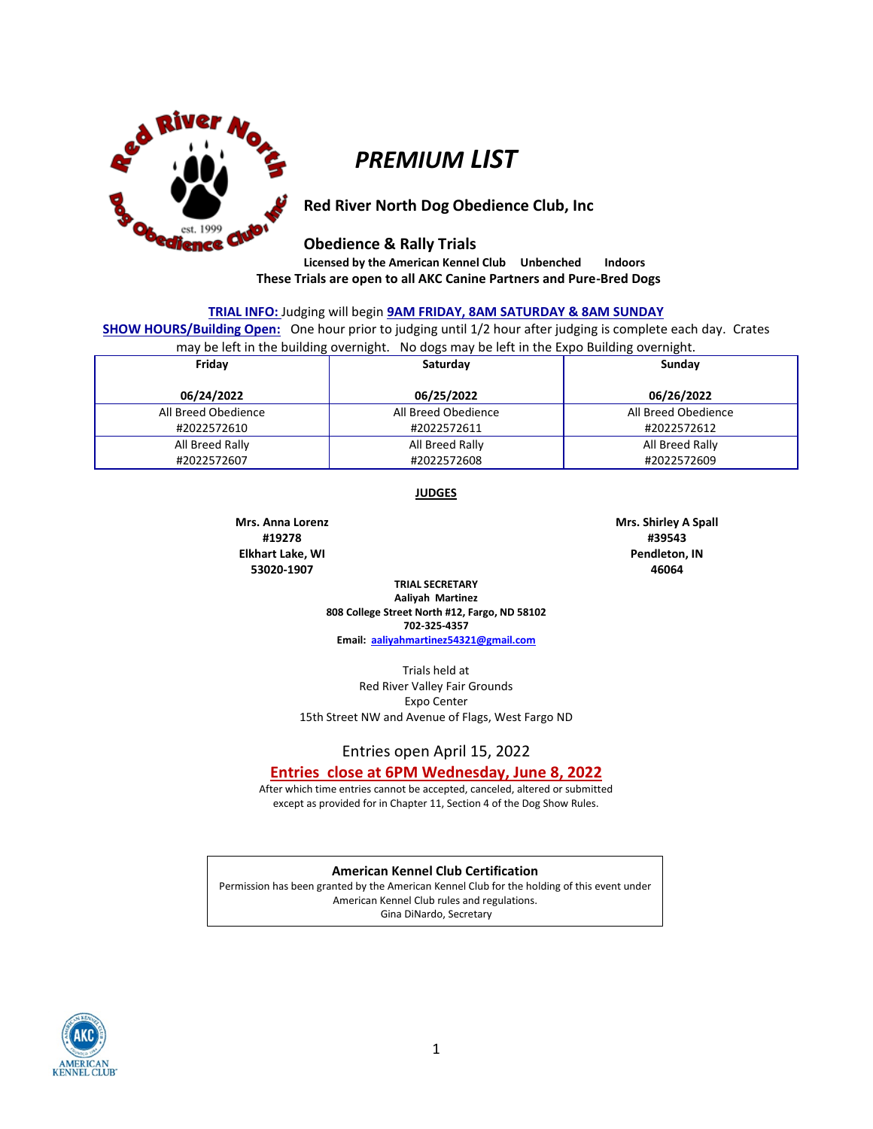

# *PREMIUM LIST*

**Red River North Dog Obedience Club, Inc**

## **Obedience & Rally Trials**

**Licensed by the American Kennel Club Unbenched Indoors These Trials are open to all AKC Canine Partners and Pure-Bred Dogs**

**TRIAL INFO:** Judging will begin **9AM FRIDAY, 8AM SATURDAY & 8AM SUNDAY**

**SHOW HOURS/Building Open:** One hour prior to judging until 1/2 hour after judging is complete each day. Crates may be left in the building overnight. No dogs may be left in the Expo Building overnight.

| Friday              | Saturday            | Sunday              |
|---------------------|---------------------|---------------------|
| 06/24/2022          | 06/25/2022          | 06/26/2022          |
| All Breed Obedience | All Breed Obedience | All Breed Obedience |
| #2022572610         | #2022572611         | #2022572612         |
| All Breed Rally     | All Breed Rally     | All Breed Rally     |
| #2022572607         | #2022572608         | #2022572609         |

### **JUDGES**

**Mrs. Anna Lorenz #19278 Elkhart Lake, WI 53020-1907**

**Mrs. Shirley A Spall #39543 Pendleton, IN 46064**

**TRIAL SECRETARY Aaliyah Martinez 808 College Street North #12, Fargo, ND 58102 702-325-4357 Email: [aaliyahmartinez54321@gmail.com](mailto:aaliyahmartinez54321@gmail.com)**

Trials held at Red River Valley Fair Grounds Expo Center 15th Street NW and Avenue of Flags, West Fargo ND

## Entries open April 15, 2022

## **Entries close at 6PM Wednesday, June 8, 2022**

After which time entries cannot be accepted, canceled, altered or submitted except as provided for in Chapter 11, Section 4 of the Dog Show Rules.

#### **American Kennel Club Certification**

Permission has been granted by the American Kennel Club for the holding of this event under American Kennel Club rules and regulations. Gina DiNardo, Secretary

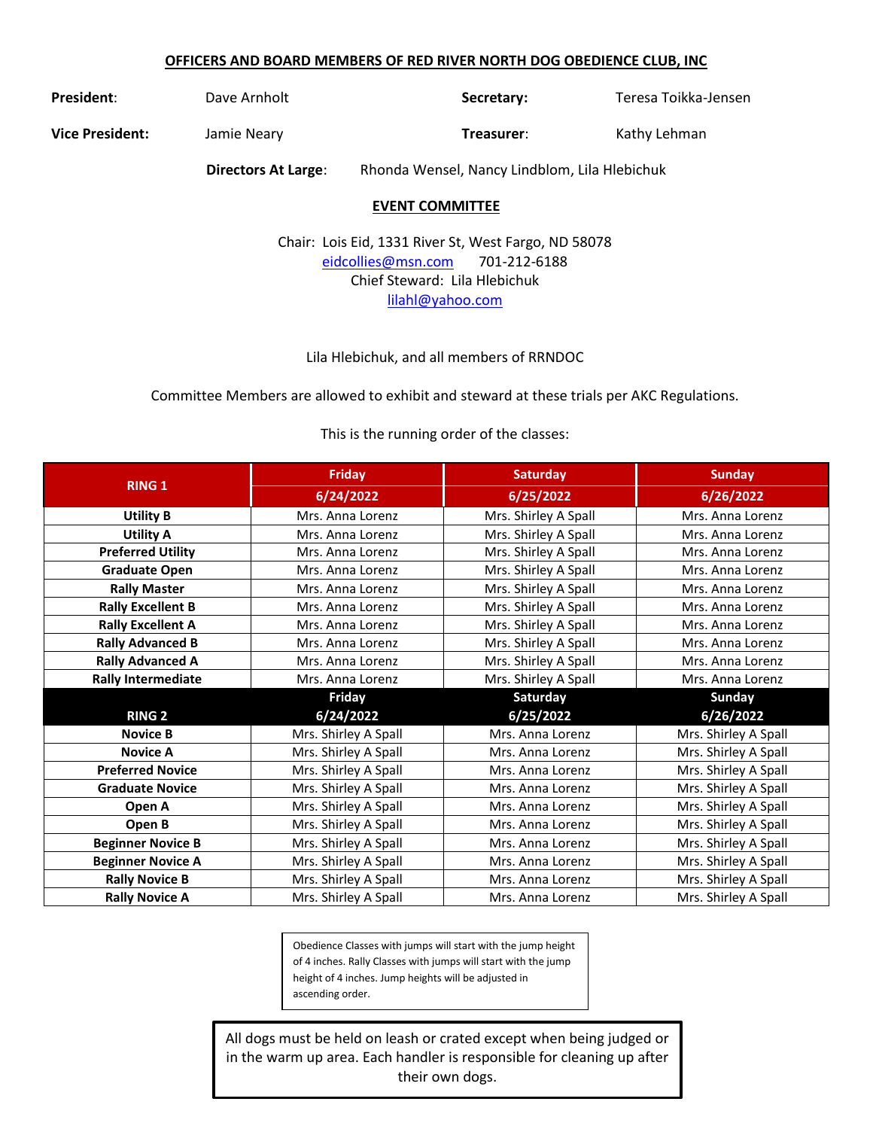### **OFFICERS AND BOARD MEMBERS OF RED RIVER NORTH DOG OBEDIENCE CLUB, INC**

| President:             | Dave Arnholt               | Secretary:                                    | Teresa Toikka-Jensen |
|------------------------|----------------------------|-----------------------------------------------|----------------------|
| <b>Vice President:</b> | Jamie Neary                | Treasurer:                                    | Kathy Lehman         |
|                        | <b>Directors At Large:</b> | Rhonda Wensel, Nancy Lindblom, Lila Hlebichuk |                      |

#### **EVENT COMMITTEE**

Chair: Lois Eid, 1331 River St, West Fargo, ND 58078 [eidcollies@msn.com](mailto:eidcollies@msn.com) 701-212-6188 Chief Steward: Lila Hlebichuk [lilahl@yahoo.com](mailto:lilahl@yahoo.com)

Lila Hlebichuk, and all members of RRNDOC

Committee Members are allowed to exhibit and steward at these trials per AKC Regulations.

This is the running order of the classes:

|                           | <b>Friday</b>        | Saturday             | <b>Sunday</b>        |
|---------------------------|----------------------|----------------------|----------------------|
| <b>RING 1</b>             | 6/24/2022            | 6/25/2022            | 6/26/2022            |
| <b>Utility B</b>          | Mrs. Anna Lorenz     | Mrs. Shirley A Spall | Mrs. Anna Lorenz     |
| Utility A                 | Mrs. Anna Lorenz     | Mrs. Shirley A Spall | Mrs. Anna Lorenz     |
| <b>Preferred Utility</b>  | Mrs. Anna Lorenz     | Mrs. Shirley A Spall | Mrs. Anna Lorenz     |
| <b>Graduate Open</b>      | Mrs. Anna Lorenz     | Mrs. Shirley A Spall | Mrs. Anna Lorenz     |
| <b>Rally Master</b>       | Mrs. Anna Lorenz     | Mrs. Shirley A Spall | Mrs. Anna Lorenz     |
| <b>Rally Excellent B</b>  | Mrs. Anna Lorenz     | Mrs. Shirley A Spall | Mrs. Anna Lorenz     |
| <b>Rally Excellent A</b>  | Mrs. Anna Lorenz     | Mrs. Shirley A Spall | Mrs. Anna Lorenz     |
| <b>Rally Advanced B</b>   | Mrs. Anna Lorenz     | Mrs. Shirley A Spall | Mrs. Anna Lorenz     |
| <b>Rally Advanced A</b>   | Mrs. Anna Lorenz     | Mrs. Shirley A Spall | Mrs. Anna Lorenz     |
| <b>Rally Intermediate</b> | Mrs. Anna Lorenz     | Mrs. Shirley A Spall | Mrs. Anna Lorenz     |
|                           | Friday               | Saturday             | Sunday               |
| <b>RING 2</b>             | 6/24/2022            | 6/25/2022            | 6/26/2022            |
| <b>Novice B</b>           | Mrs. Shirley A Spall | Mrs. Anna Lorenz     | Mrs. Shirley A Spall |
| <b>Novice A</b>           | Mrs. Shirley A Spall | Mrs. Anna Lorenz     | Mrs. Shirley A Spall |
| <b>Preferred Novice</b>   | Mrs. Shirley A Spall | Mrs. Anna Lorenz     | Mrs. Shirley A Spall |
| <b>Graduate Novice</b>    | Mrs. Shirley A Spall | Mrs. Anna Lorenz     | Mrs. Shirley A Spall |
| Open A                    | Mrs. Shirley A Spall | Mrs. Anna Lorenz     | Mrs. Shirley A Spall |
| Open B                    | Mrs. Shirley A Spall | Mrs. Anna Lorenz     | Mrs. Shirley A Spall |
| <b>Beginner Novice B</b>  | Mrs. Shirley A Spall | Mrs. Anna Lorenz     | Mrs. Shirley A Spall |
| <b>Beginner Novice A</b>  | Mrs. Shirley A Spall | Mrs. Anna Lorenz     | Mrs. Shirley A Spall |
| <b>Rally Novice B</b>     | Mrs. Shirley A Spall | Mrs. Anna Lorenz     | Mrs. Shirley A Spall |
| <b>Rally Novice A</b>     | Mrs. Shirley A Spall | Mrs. Anna Lorenz     | Mrs. Shirley A Spall |

Obedience Classes with jumps will start with the jump height of 4 inches. Rally Classes with jumps will start with the jump height of 4 inches. Jump heights will be adjusted in ascending order.

2 All dogs must be held on leash or crated except when being judged or in the warm up area. Each handler is responsible for cleaning up after their own dogs.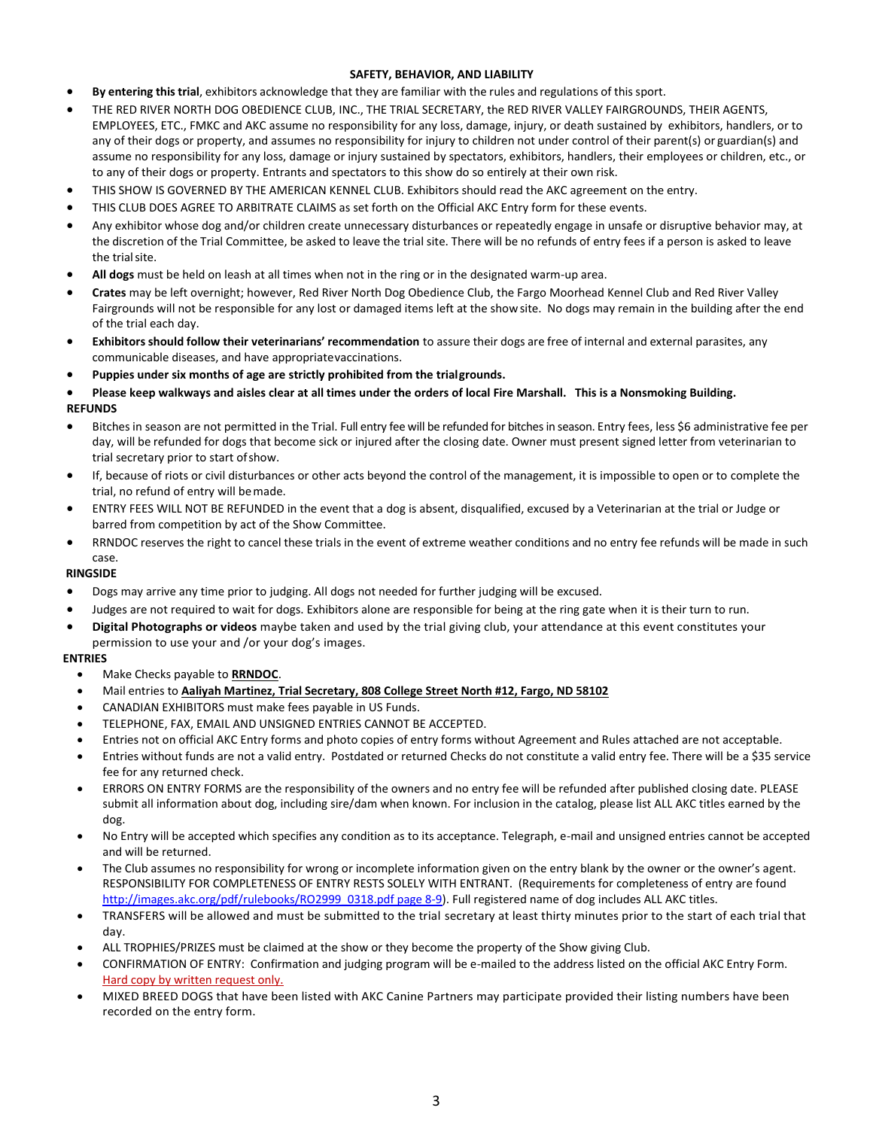#### **SAFETY, BEHAVIOR, AND LIABILITY**

- **By entering this trial**, exhibitors acknowledge that they are familiar with the rules and regulations of this sport.
- THE RED RIVER NORTH DOG OBEDIENCE CLUB, INC., THE TRIAL SECRETARY, the RED RIVER VALLEY FAIRGROUNDS, THEIR AGENTS, EMPLOYEES, ETC., FMKC and AKC assume no responsibility for any loss, damage, injury, or death sustained by exhibitors, handlers, or to any of their dogs or property, and assumes no responsibility for injury to children not under control of their parent(s) or guardian(s) and assume no responsibility for any loss, damage or injury sustained by spectators, exhibitors, handlers, their employees or children, etc., or to any of their dogs or property. Entrants and spectators to this show do so entirely at their own risk.
- THIS SHOW IS GOVERNED BY THE AMERICAN KENNEL CLUB. Exhibitors should read the AKC agreement on the entry.
- THIS CLUB DOES AGREE TO ARBITRATE CLAIMS as set forth on the Official AKC Entry form for these events.
- Any exhibitor whose dog and/or children create unnecessary disturbances or repeatedly engage in unsafe or disruptive behavior may, at the discretion of the Trial Committee, be asked to leave the trial site. There will be no refunds of entry fees if a person is asked to leave the trialsite.
- **All dogs** must be held on leash at all times when not in the ring or in the designated warm-up area.
- **Crates** may be left overnight; however, Red River North Dog Obedience Club, the Fargo Moorhead Kennel Club and Red River Valley Fairgrounds will not be responsible for any lost or damaged items left at the showsite. No dogs may remain in the building after the end of the trial each day.
- **Exhibitors should follow their veterinarians' recommendation** to assure their dogs are free of internal and external parasites, any communicable diseases, and have appropriatevaccinations.
- **Puppies under six months of age are strictly prohibited from the trialgrounds.**
- **Please keep walkways and aisles clear at all times under the orders of local Fire Marshall. This is a Nonsmoking Building. REFUNDS**
- Bitches in season are not permitted in the Trial. Full entry fee will be refunded for bitches in season. Entry fees, less \$6 administrative fee per day, will be refunded for dogs that become sick or injured after the closing date. Owner must present signed letter from veterinarian to trial secretary prior to start ofshow.
- If, because of riots or civil disturbances or other acts beyond the control of the management, it is impossible to open or to complete the trial, no refund of entry will bemade.
- ENTRY FEES WILL NOT BE REFUNDED in the event that a dog is absent, disqualified, excused by a Veterinarian at the trial or Judge or barred from competition by act of the Show Committee.
- RRNDOC reserves the right to cancel these trials in the event of extreme weather conditions and no entry fee refunds will be made in such case.

## **RINGSIDE**

- Dogs may arrive any time prior to judging. All dogs not needed for further judging will be excused.
- Judges are not required to wait for dogs. Exhibitors alone are responsible for being at the ring gate when it is their turn to run.
- **Digital Photographs or videos** maybe taken and used by the trial giving club, your attendance at this event constitutes your permission to use your and /or your dog's images.

## **ENTRIES**

- Make Checks payable to **RRNDOC**.
- Mail entries to **Aaliyah Martinez, Trial Secretary, 808 College Street North #12, Fargo, ND 58102**
- CANADIAN EXHIBITORS must make fees payable in US Funds.
- TELEPHONE, FAX, EMAIL AND UNSIGNED ENTRIES CANNOT BE ACCEPTED.
- Entries not on official AKC Entry forms and photo copies of entry forms without Agreement and Rules attached are not acceptable.
- Entries without funds are not a valid entry. Postdated or returned Checks do not constitute a valid entry fee. There will be a \$35 service fee for any returned check.
- ERRORS ON ENTRY FORMS are the responsibility of the owners and no entry fee will be refunded after published closing date. PLEASE submit all information about dog, including sire/dam when known. For inclusion in the catalog, please list ALL AKC titles earned by the dog.
- No Entry will be accepted which specifies any condition as to its acceptance. Telegraph, e-mail and unsigned entries cannot be accepted and will be returned.
- The Club assumes no responsibility for wrong or incomplete information given on the entry blank by the owner or the owner's agent. RESPONSIBILITY FOR COMPLETENESS OF ENTRY RESTS SOLELY WITH ENTRANT. (Requirements for completeness of entry are found [http://images.akc.org/pdf/rulebooks/RO2999\\_0318.pdf page 8-9\)](http://images.akc.org/pdf/rulebooks/RO2999_0318.pdf%20page%208-9). Full registered name of dog includes ALL AKC titles.
- TRANSFERS will be allowed and must be submitted to the trial secretary at least thirty minutes prior to the start of each trial that day.
- ALL TROPHIES/PRIZES must be claimed at the show or they become the property of the Show giving Club.
- CONFIRMATION OF ENTRY: Confirmation and judging program will be e-mailed to the address listed on the official AKC Entry Form. Hard copy by written request only.
- MIXED BREED DOGS that have been listed with AKC Canine Partners may participate provided their listing numbers have been recorded on the entry form.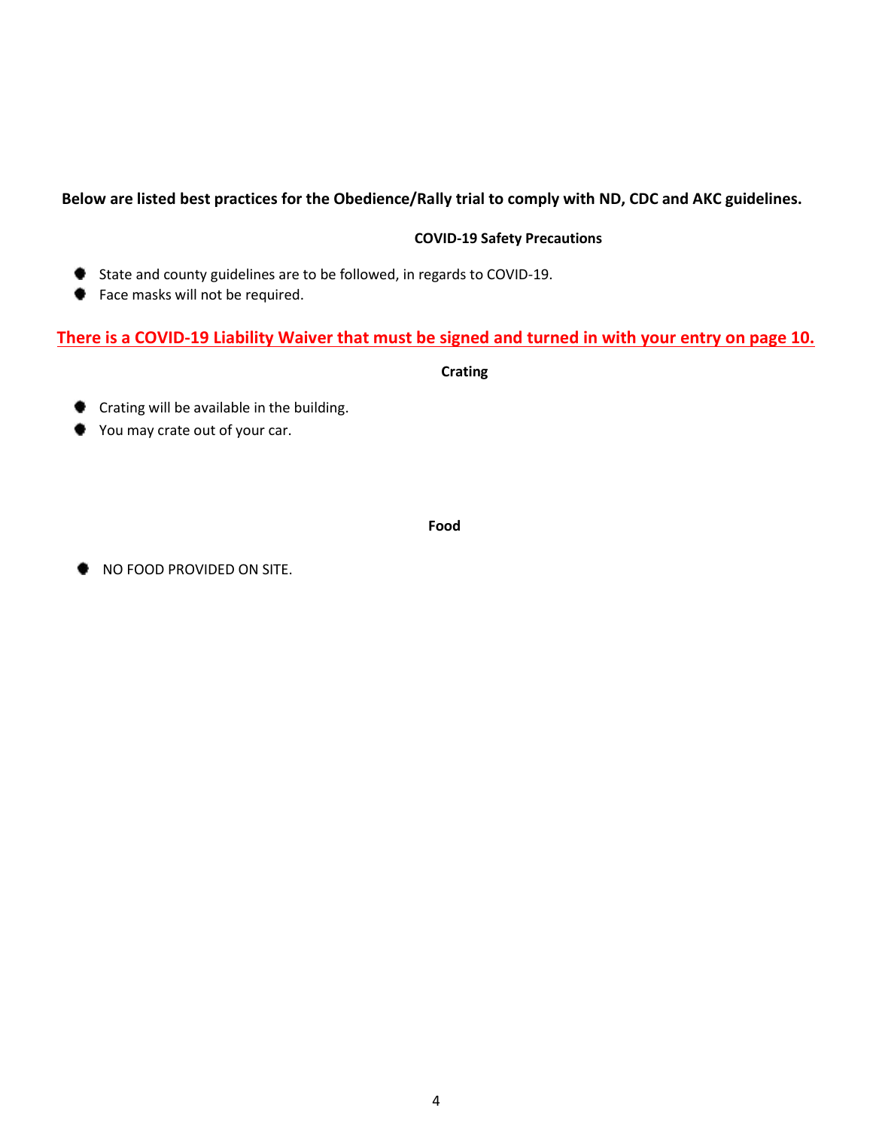# **Below are listed best practices for the Obedience/Rally trial to comply with ND, CDC and AKC guidelines.**

## **COVID-19 Safety Precautions**

- State and county guidelines are to be followed, in regards to COVID-19.
- **Face masks will not be required.**

# **There is a COVID-19 Liability Waiver that must be signed and turned in with your entry on page 10.**

**Crating**

- **Crating will be available in the building.**
- You may crate out of your car.

**Food**

NO FOOD PROVIDED ON SITE.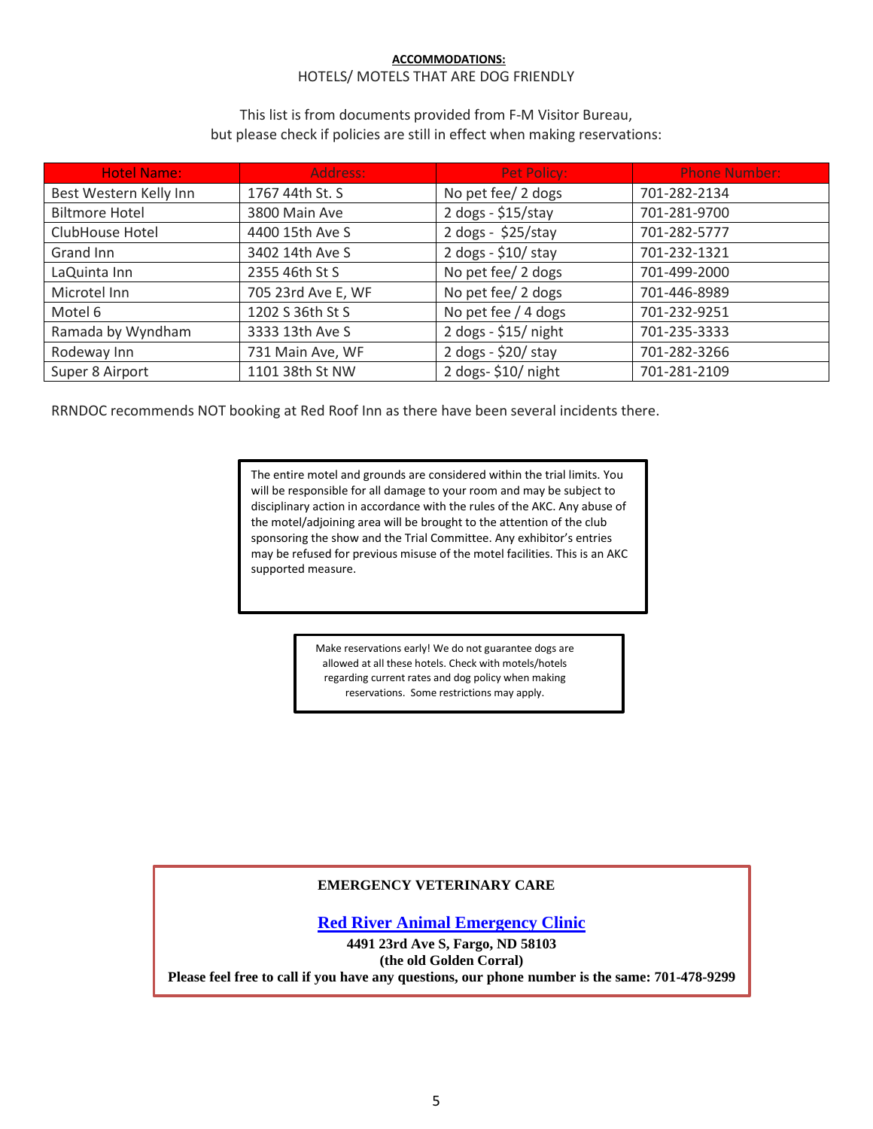## **ACCOMMODATIONS:**

## HOTELS/ MOTELS THAT ARE DOG FRIENDLY

This list is from documents provided from F-M Visitor Bureau, but please check if policies are still in effect when making reservations:

| <b>Hotel Name:</b>     | Address:           | Pet Policy:           | <b>Phone Number:</b> |
|------------------------|--------------------|-----------------------|----------------------|
| Best Western Kelly Inn | 1767 44th St. S    | No pet fee/ 2 dogs    | 701-282-2134         |
| <b>Biltmore Hotel</b>  | 3800 Main Ave      | 2 dogs - $$15/stay$   | 701-281-9700         |
| ClubHouse Hotel        | 4400 15th Ave S    | $2$ dogs - \$25/stay  | 701-282-5777         |
| Grand Inn              | 3402 14th Ave S    | 2 dogs - \$10/ stay   | 701-232-1321         |
| LaQuinta Inn           | 2355 46th St S     | No pet fee/ 2 dogs    | 701-499-2000         |
| Microtel Inn           | 705 23rd Ave E, WF | No pet fee/ 2 dogs    | 701-446-8989         |
| Motel 6                | 1202 S 36th St S   | No pet fee / 4 dogs   | 701-232-9251         |
| Ramada by Wyndham      | 3333 13th Ave S    | 2 dogs - \$15/ night  | 701-235-3333         |
| Rodeway Inn            | 731 Main Ave, WF   | 2 dogs - \$20/ $star$ | 701-282-3266         |
| Super 8 Airport        | 1101 38th St NW    | 2 dogs-\$10/ night    | 701-281-2109         |

RRNDOC recommends NOT booking at Red Roof Inn as there have been several incidents there.

The entire motel and grounds are considered within the trial limits. You will be responsible for all damage to your room and may be subject to disciplinary action in accordance with the rules of the AKC. Any abuse of the motel/adjoining area will be brought to the attention of the club sponsoring the show and the Trial Committee. Any exhibitor's entries may be refused for previous misuse of the motel facilities. This is an AKC supported measure.

> Make reservations early! We do not guarantee dogs are allowed at all these hotels. Check with motels/hotels regarding current rates and dog policy when making reservations. Some restrictions may apply.

## **EMERGENCY VETERINARY CARE**

**[Red River Animal Emergency Clinic](https://m.facebook.com/rraec/?refid=52&__tn__=CH-R)**

**4491 23rd Ave S, Fargo, ND 58103 (the old Golden Corral) Please feel free to call if you have any questions, our phone number is the same: 701-478-9299**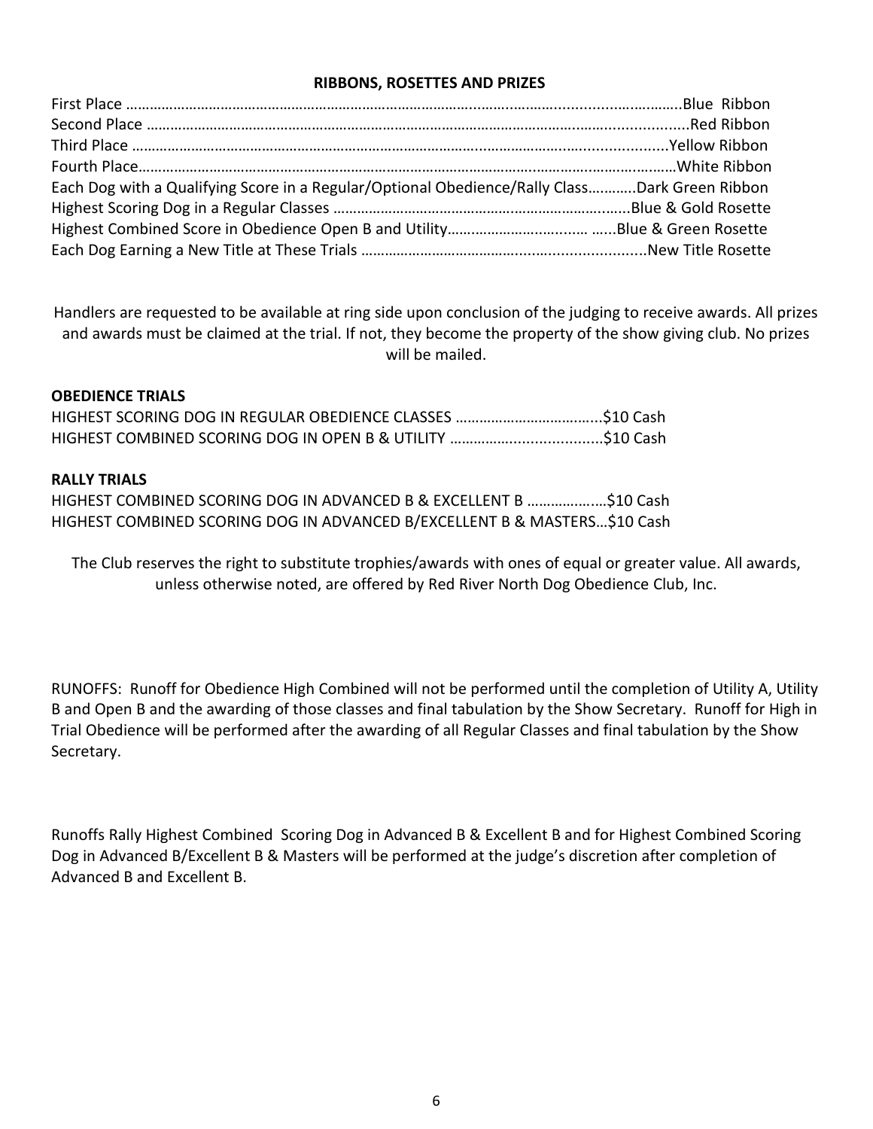# **RIBBONS, ROSETTES AND PRIZES**

| Each Dog with a Qualifying Score in a Regular/Optional Obedience/Rally ClassDark Green Ribbon |  |
|-----------------------------------------------------------------------------------------------|--|
|                                                                                               |  |
|                                                                                               |  |
|                                                                                               |  |

Handlers are requested to be available at ring side upon conclusion of the judging to receive awards. All prizes and awards must be claimed at the trial. If not, they become the property of the show giving club. No prizes will be mailed.

# **OBEDIENCE TRIALS**

# **RALLY TRIALS**

HIGHEST COMBINED SCORING DOG IN ADVANCED B & EXCELLENT B ………….….…\$10 Cash HIGHEST COMBINED SCORING DOG IN ADVANCED B/EXCELLENT B & MASTERS…\$10 Cash

The Club reserves the right to substitute trophies/awards with ones of equal or greater value. All awards, unless otherwise noted, are offered by Red River North Dog Obedience Club, Inc.

RUNOFFS: Runoff for Obedience High Combined will not be performed until the completion of Utility A, Utility B and Open B and the awarding of those classes and final tabulation by the Show Secretary. Runoff for High in Trial Obedience will be performed after the awarding of all Regular Classes and final tabulation by the Show Secretary.

Runoffs Rally Highest Combined Scoring Dog in Advanced B & Excellent B and for Highest Combined Scoring Dog in Advanced B/Excellent B & Masters will be performed at the judge's discretion after completion of Advanced B and Excellent B.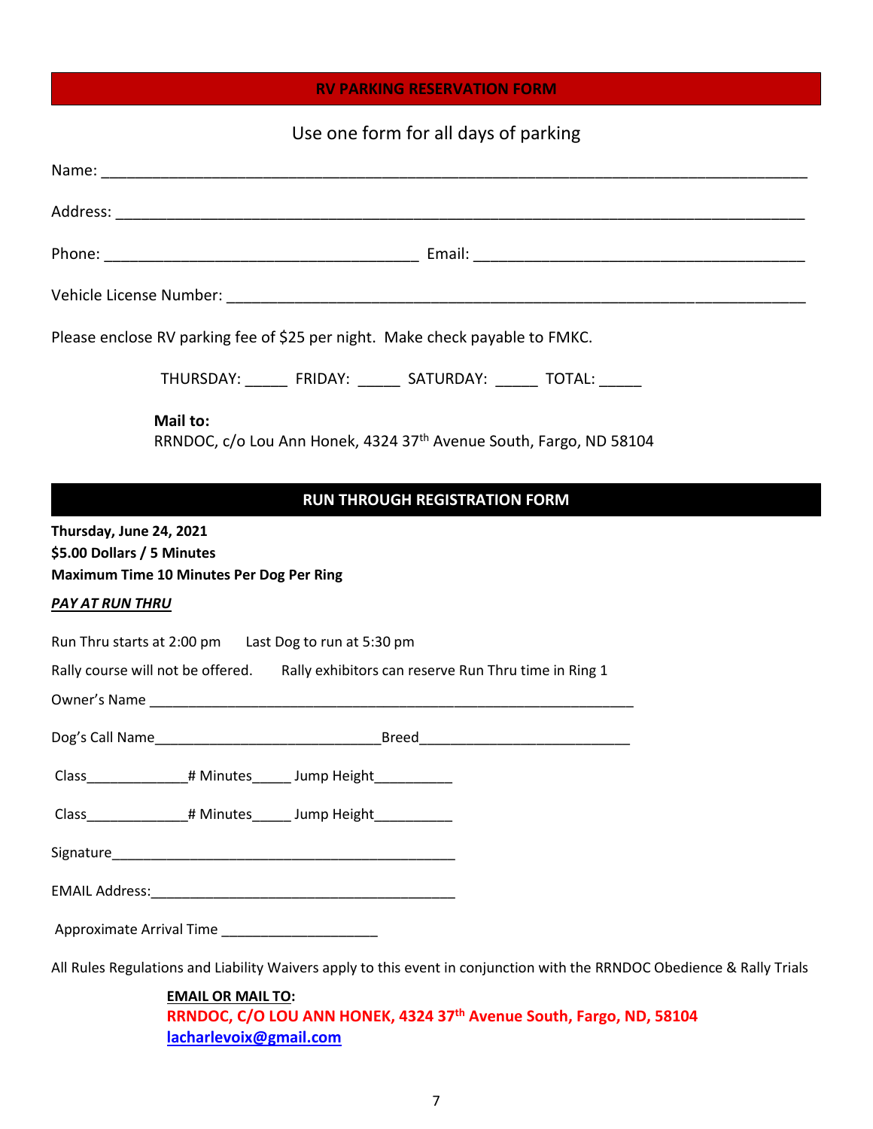## **RV PARKING RESERVATION FORM**

# Use one form for all days of parking

| Please enclose RV parking fee of \$25 per night. Make check payable to FMKC.                             |                                      |                                                                                                                         |  |
|----------------------------------------------------------------------------------------------------------|--------------------------------------|-------------------------------------------------------------------------------------------------------------------------|--|
|                                                                                                          |                                      | THURSDAY: FRIDAY: ______ SATURDAY: ______ TOTAL: _____                                                                  |  |
| Mail to:                                                                                                 |                                      | RRNDOC, c/o Lou Ann Honek, 4324 37th Avenue South, Fargo, ND 58104                                                      |  |
|                                                                                                          | <b>RUN THROUGH REGISTRATION FORM</b> |                                                                                                                         |  |
| Thursday, June 24, 2021<br>\$5.00 Dollars / 5 Minutes<br><b>Maximum Time 10 Minutes Per Dog Per Ring</b> |                                      |                                                                                                                         |  |
| <b>PAY AT RUN THRU</b>                                                                                   |                                      |                                                                                                                         |  |
| Run Thru starts at 2:00 pm Last Dog to run at 5:30 pm                                                    |                                      |                                                                                                                         |  |
| Rally course will not be offered. Rally exhibitors can reserve Run Thru time in Ring 1                   |                                      |                                                                                                                         |  |
|                                                                                                          |                                      |                                                                                                                         |  |
|                                                                                                          |                                      |                                                                                                                         |  |
| Class___________________# Minutes_______ Jump Height____________________________                         |                                      |                                                                                                                         |  |
| Class________________# Minutes______ Jump Height____________                                             |                                      |                                                                                                                         |  |
|                                                                                                          |                                      |                                                                                                                         |  |
|                                                                                                          |                                      |                                                                                                                         |  |
|                                                                                                          |                                      |                                                                                                                         |  |
| $EMAII$ OD MAIL TO.                                                                                      |                                      | All Rules Regulations and Liability Waivers apply to this event in conjunction with the RRNDOC Obedience & Rally Trials |  |

**EMAIL OR MAIL TO: RRNDOC, C/O LOU ANN HONEK, 4324 37th Avenue South, Fargo, ND, 58104 [lacharlevoix@gmail.com](mailto:lacharlevoix@gmail.comt)**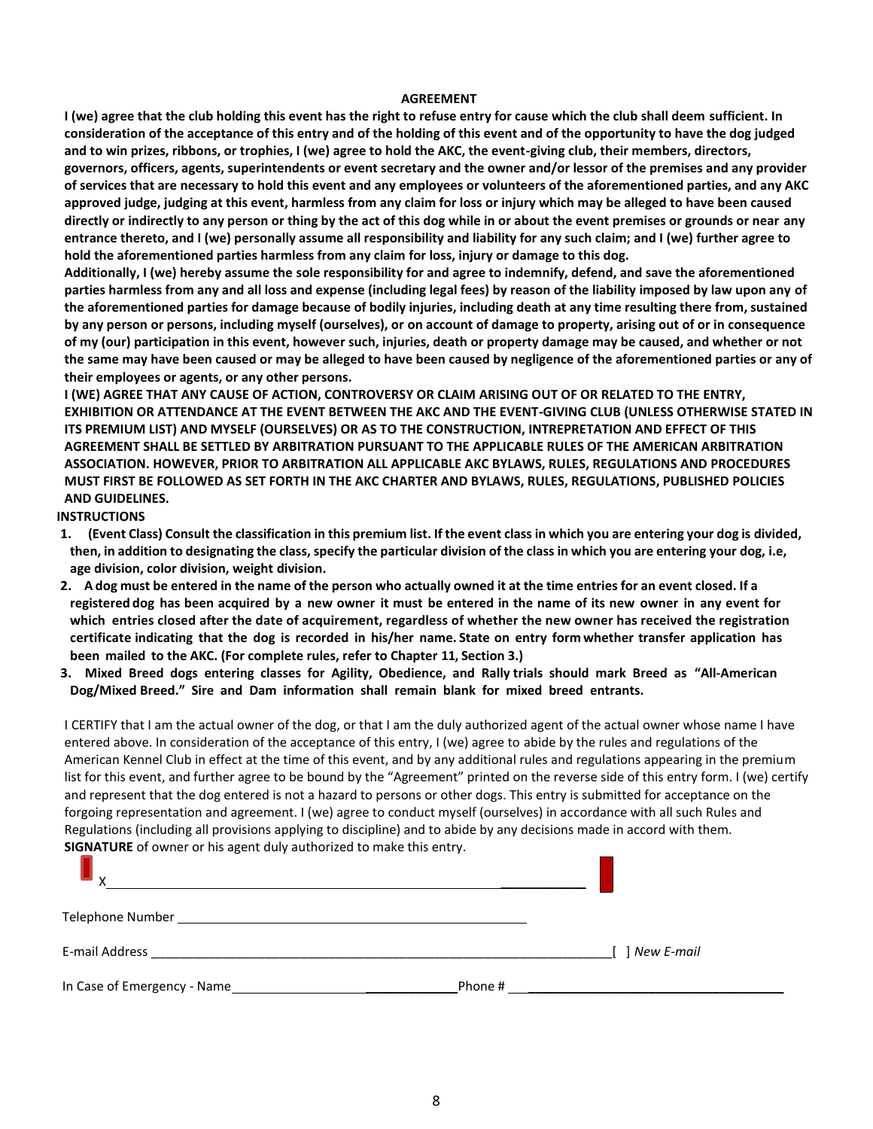#### **AGREEMENT**

**I (we) agree that the club holding this event has the right to refuse entry for cause which the club shall deem sufficient. In consideration of the acceptance of this entry and of the holding of this event and of the opportunity to have the dog judged and to win prizes, ribbons, or trophies, I (we) agree to hold the AKC, the event-giving club, their members, directors, governors, officers, agents, superintendents or event secretary and the owner and/or lessor of the premises and any provider of services that are necessary to hold this event and any employees or volunteers of the aforementioned parties, and any AKC approved judge, judging at this event, harmless from any claim for loss or injury which may be alleged to have been caused directly or indirectly to any person or thing by the act of this dog while in or about the event premises or grounds or near any entrance thereto, and I (we) personally assume all responsibility and liability for any such claim; and I (we) further agree to hold the aforementioned parties harmless from any claim for loss, injury or damage to this dog.**

**Additionally, I (we) hereby assume the sole responsibility for and agree to indemnify, defend, and save the aforementioned parties harmless from any and all loss and expense (including legal fees) by reason of the liability imposed by law upon any of the aforementioned parties for damage because of bodily injuries, including death at any time resulting there from, sustained by any person or persons, including myself (ourselves), or on account of damage to property, arising out of or in consequence of my (our) participation in this event, however such, injuries, death or property damage may be caused, and whether or not the same may have been caused or may be alleged to have been caused by negligence of the aforementioned parties or any of their employees or agents, or any other persons.**

**I (WE) AGREE THAT ANY CAUSE OF ACTION, CONTROVERSY OR CLAIM ARISING OUT OF OR RELATED TO THE ENTRY, EXHIBITION OR ATTENDANCE AT THE EVENT BETWEEN THE AKC AND THE EVENT-GIVING CLUB (UNLESS OTHERWISE STATED IN ITS PREMIUM LIST) AND MYSELF (OURSELVES) OR AS TO THE CONSTRUCTION, INTREPRETATION AND EFFECT OF THIS AGREEMENT SHALL BE SETTLED BY ARBITRATION PURSUANT TO THE APPLICABLE RULES OF THE AMERICAN ARBITRATION ASSOCIATION. HOWEVER, PRIOR TO ARBITRATION ALL APPLICABLE AKC BYLAWS, RULES, REGULATIONS AND PROCEDURES MUST FIRST BE FOLLOWED AS SET FORTH IN THE AKC CHARTER AND BYLAWS, RULES, REGULATIONS, PUBLISHED POLICIES AND GUIDELINES.**

**INSTRUCTIONS**

- 1. (Event Class) Consult the classification in this premium list. If the event class in which you are entering your dog is divided, then, in addition to designating the class, specify the particular division of the class in which you are entering your dog, i.e, **age division, color division, weight division.**
- 2. A dog must be entered in the name of the person who actually owned it at the time entries for an event closed. If a **registered dog has been acquired by a new owner it must be entered in the name of its new owner in any event for which entries closed after the date of acquirement, regardless of whether the new owner has received the registration certificate indicating that the dog is recorded in his/her name. State on entry form whether transfer application has been mailed to the AKC. (For complete rules, refer to Chapter 11, Section 3.)**
- **3. Mixed Breed dogs entering classes for Agility, Obedience, and Rally trials should mark Breed as "All-American Dog/Mixed Breed." Sire and Dam information shall remain blank for mixed breed entrants.**

I CERTIFY that I am the actual owner of the dog, or that I am the duly authorized agent of the actual owner whose name I have entered above. In consideration of the acceptance of this entry, I (we) agree to abide by the rules and regulations of the American Kennel Club in effect at the time of this event, and by any additional rules and regulations appearing in the premium list for this event, and further agree to be bound by the "Agreement" printed on the reverse side of this entry form. I (we) certify and represent that the dog entered is not a hazard to persons or other dogs. This entry is submitted for acceptance on the forgoing representation and agreement. I (we) agree to conduct myself (ourselves) in accordance with all such Rules and Regulations (including all provisions applying to discipline) and to abide by any decisions made in accord with them. **SIGNATURE** of owner or his agent duly authorized to make this entry.

| $\lambda$<br><u> 1980 - Andrea Andrew Maria (h. 1980).</u><br>1980 - Andrew Maria (h. 1980). |         |              |
|----------------------------------------------------------------------------------------------|---------|--------------|
| Telephone Number<br><u> 1989 - John Stein, amerikansk politiker († 1908)</u>                 |         |              |
| E-mail Address                                                                               |         | 1 New E-mail |
| In Case of Emergency - Name_                                                                 | Phone # |              |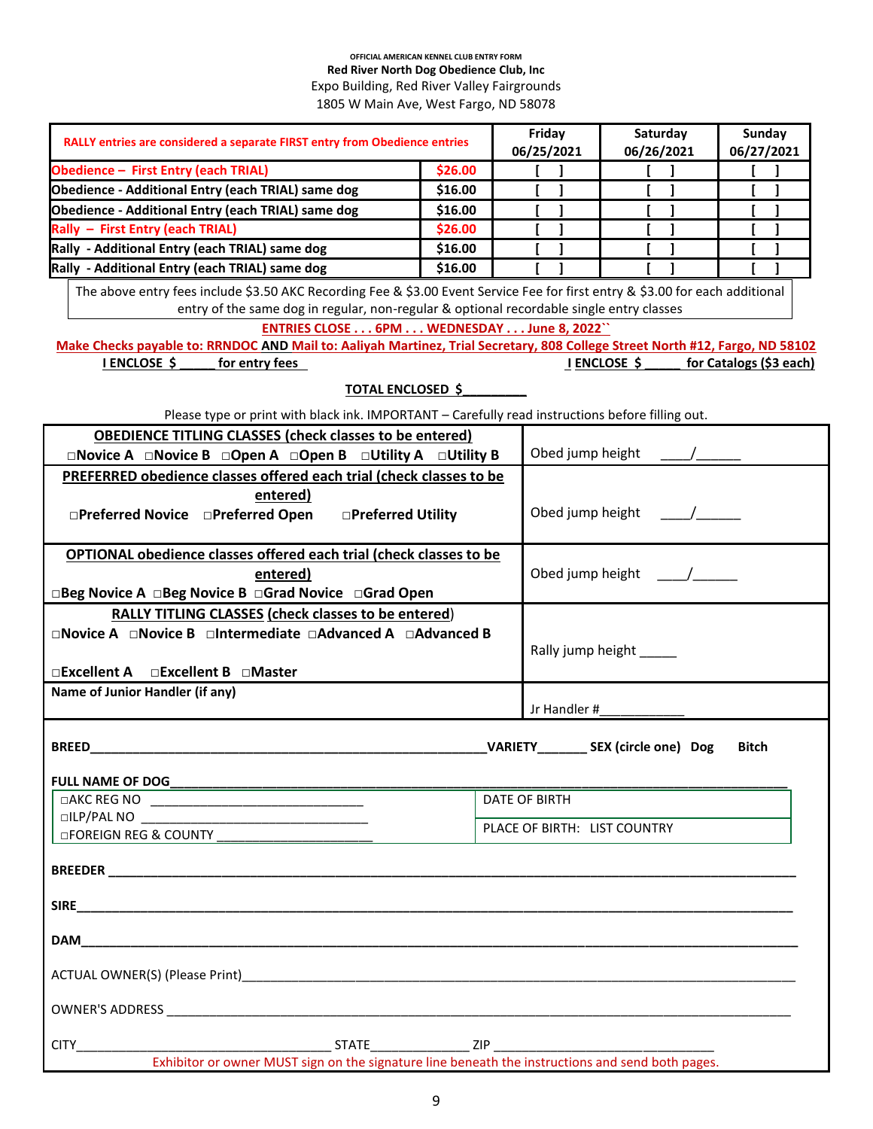#### **OFFICIAL AMERICAN KENNEL CLUB ENTRY FORM Red River North Dog Obedience Club, Inc** Expo Building, Red River Valley Fairgrounds 1805 W Main Ave, West Fargo, ND 58078

| RALLY entries are considered a separate FIRST entry from Obedience entries |         | Fridav<br>06/25/2021 | Saturday<br>06/26/2021 | Sunday<br>06/27/2021 |
|----------------------------------------------------------------------------|---------|----------------------|------------------------|----------------------|
| <b>Obedience - First Entry (each TRIAL)</b>                                | \$26.00 |                      |                        |                      |
| Obedience - Additional Entry (each TRIAL) same dog                         | \$16.00 |                      |                        |                      |
| Obedience - Additional Entry (each TRIAL) same dog                         | \$16.00 |                      |                        |                      |
| Rally - First Entry (each TRIAL)                                           | \$26.00 |                      |                        |                      |
| Rally - Additional Entry (each TRIAL) same dog                             | \$16.00 |                      |                        |                      |
| Rally - Additional Entry (each TRIAL) same dog                             | \$16.00 |                      |                        |                      |

The above entry fees include \$3.50 AKC Recording Fee & \$3.00 Event Service Fee for first entry & \$3.00 for each additional entry of the same dog in regular, non-regular & optional recordable single entry classes

### **ENTRIES CLOSE . . . 6PM . . . WEDNESDAY . . . June 8, 2022``**

**Make Checks payable to: RRNDOC AND Mail to: Aaliyah Martinez, Trial Secretary, 808 College Street North #12, Fargo, ND 58102 I ENCLOSE \$** for entry fees **I ENCLOSE \$** for Catalogs (\$3 each)

#### **TOTAL ENCLOSED \$\_\_\_\_\_\_\_\_\_**

Please type or print with black ink. IMPORTANT – Carefully read instructions before filling out.

| <b>OBEDIENCE TITLING CLASSES (check classes to be entered)</b>      |                              |
|---------------------------------------------------------------------|------------------------------|
| <b>□Novice A</b> □Novice B □Open A □Open B □Utility A □Utility B    |                              |
| PREFERRED obedience classes offered each trial (check classes to be |                              |
| entered)<br>□Preferred Novice □Preferred Open □Preferred Utility    | Obed jump height /           |
| OPTIONAL obedience classes offered each trial (check classes to be  |                              |
| entered)                                                            |                              |
| □Beg Novice A □Beg Novice B □Grad Novice □Grad Open                 |                              |
| <b>RALLY TITLING CLASSES (check classes to be entered)</b>          |                              |
| □Novice A □Novice B □Intermediate □Advanced A □Advanced B           |                              |
|                                                                     | Rally jump height _____      |
| □Excellent A □Excellent B □Master                                   |                              |
| Name of Junior Handler (if any)                                     |                              |
|                                                                     |                              |
|                                                                     |                              |
|                                                                     | <b>Bitch</b>                 |
|                                                                     |                              |
|                                                                     |                              |
|                                                                     | DATE OF BIRTH                |
|                                                                     | PLACE OF BIRTH: LIST COUNTRY |
|                                                                     |                              |
|                                                                     |                              |
|                                                                     |                              |
|                                                                     |                              |
|                                                                     |                              |
|                                                                     |                              |
|                                                                     |                              |
|                                                                     |                              |
|                                                                     |                              |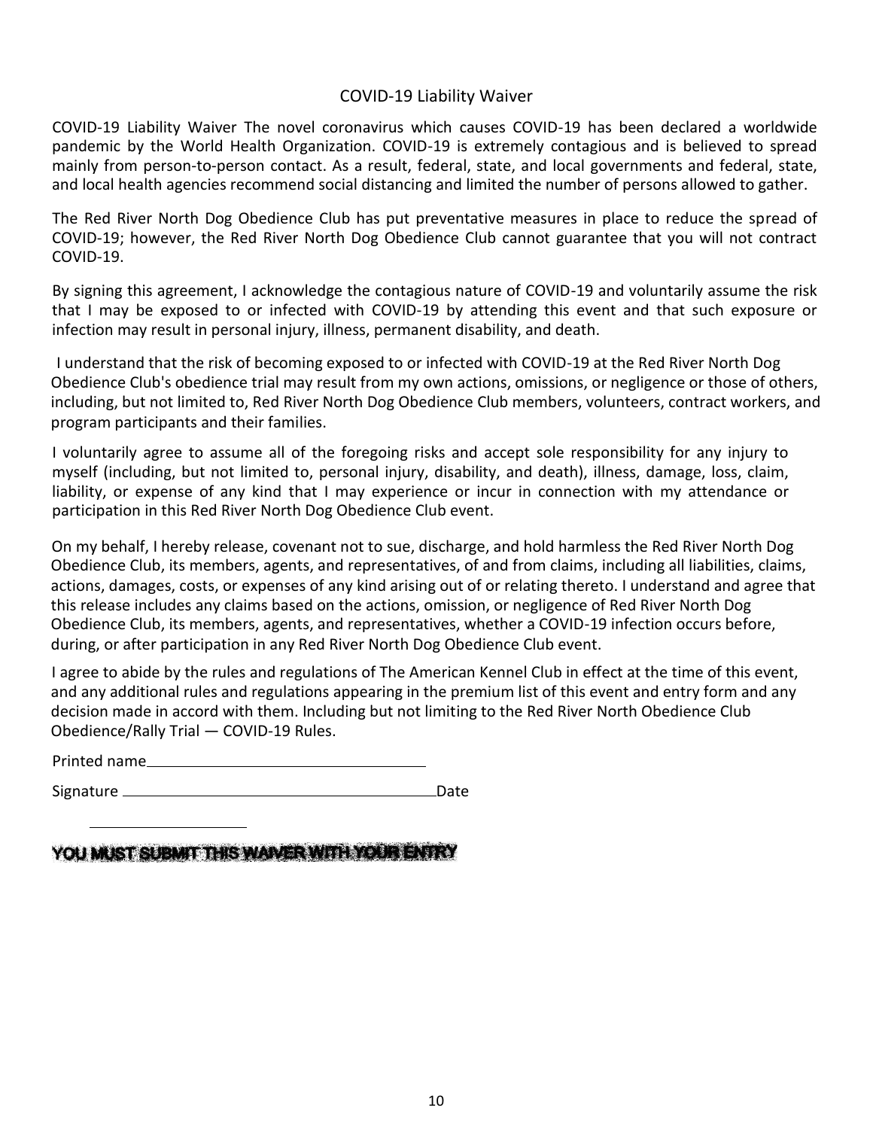# COVID-19 Liability Waiver

COVID-19 Liability Waiver The novel coronavirus which causes COVID-19 has been declared a worldwide pandemic by the World Health Organization. COVID-19 is extremely contagious and is believed to spread mainly from person-to-person contact. As a result, federal, state, and local governments and federal, state, and local health agencies recommend social distancing and limited the number of persons allowed to gather.

The Red River North Dog Obedience Club has put preventative measures in place to reduce the spread of COVID-19; however, the Red River North Dog Obedience Club cannot guarantee that you will not contract COVID-19.

By signing this agreement, I acknowledge the contagious nature of COVID-19 and voluntarily assume the risk that I may be exposed to or infected with COVID-19 by attending this event and that such exposure or infection may result in personal injury, illness, permanent disability, and death.

I understand that the risk of becoming exposed to or infected with COVID-19 at the Red River North Dog Obedience Club's obedience trial may result from my own actions, omissions, or negligence or those of others, including, but not limited to, Red River North Dog Obedience Club members, volunteers, contract workers, and program participants and their families.

I voluntarily agree to assume all of the foregoing risks and accept sole responsibility for any injury to myself (including, but not limited to, personal injury, disability, and death), illness, damage, loss, claim, liability, or expense of any kind that I may experience or incur in connection with my attendance or participation in this Red River North Dog Obedience Club event.

On my behalf, I hereby release, covenant not to sue, discharge, and hold harmless the Red River North Dog Obedience Club, its members, agents, and representatives, of and from claims, including all liabilities, claims, actions, damages, costs, or expenses of any kind arising out of or relating thereto. I understand and agree that this release includes any claims based on the actions, omission, or negligence of Red River North Dog Obedience Club, its members, agents, and representatives, whether a COVID-19 infection occurs before, during, or after participation in any Red River North Dog Obedience Club event.

I agree to abide by the rules and regulations of The American Kennel Club in effect at the time of this event, and any additional rules and regulations appearing in the premium list of this event and entry form and any decision made in accord with them. Including but not limiting to the Red River North Obedience Club Obedience/Rally Trial — COVID-19 Rules.

Printed name

Signature Date

# YOU MUST SUBMIT THIS WANER WITH YOUR ENTRY